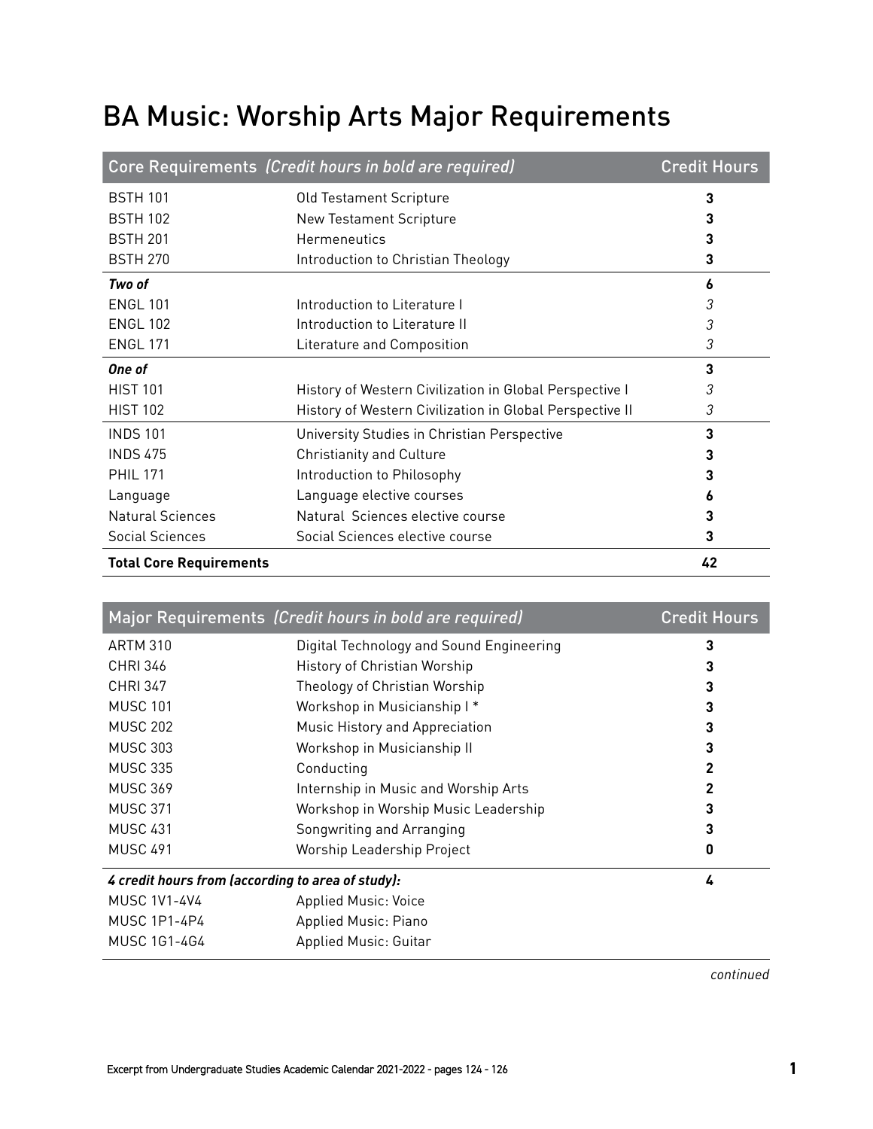## BA Music: Worship Arts Major Requirements

|                                | Core Requirements (Credit hours in bold are required)    | <b>Credit Hours</b> |
|--------------------------------|----------------------------------------------------------|---------------------|
| <b>BSTH 101</b>                | <b>Old Testament Scripture</b>                           | 3                   |
| <b>BSTH 102</b>                | <b>New Testament Scripture</b>                           |                     |
| <b>BSTH 201</b>                | <b>Hermeneutics</b>                                      | 3                   |
| <b>BSTH 270</b>                | Introduction to Christian Theology                       | 3                   |
| Two of                         |                                                          | 6                   |
| <b>ENGL 101</b>                | Introduction to Literature I                             | 3                   |
| <b>ENGL 102</b>                | Introduction to Literature II                            | 3                   |
| <b>ENGL 171</b>                | Literature and Composition                               | 3                   |
| One of                         |                                                          | 3                   |
| <b>HIST 101</b>                | History of Western Civilization in Global Perspective I  | 3                   |
| <b>HIST 102</b>                | History of Western Civilization in Global Perspective II | 3                   |
| <b>INDS 101</b>                | University Studies in Christian Perspective              | 3                   |
| <b>INDS 475</b>                | <b>Christianity and Culture</b>                          |                     |
| <b>PHII 171</b>                | Introduction to Philosophy                               | 3                   |
| Language                       | Language elective courses                                | ь                   |
| <b>Natural Sciences</b>        | Natural Sciences elective course                         | 3                   |
| Social Sciences                | Social Sciences elective course                          | 3                   |
| <b>Total Core Requirements</b> |                                                          | 42                  |

|                                                   | Major Requirements (Credit hours in bold are required) | <b>Credit Hours</b> |
|---------------------------------------------------|--------------------------------------------------------|---------------------|
| <b>ARTM 310</b>                                   | Digital Technology and Sound Engineering               | 3                   |
| <b>CHRI 346</b>                                   | History of Christian Worship                           | 3                   |
| <b>CHRI 347</b>                                   | Theology of Christian Worship                          | 3                   |
| <b>MUSC 101</b>                                   | Workshop in Musicianship I*                            | 3                   |
| <b>MUSC 202</b>                                   | Music History and Appreciation                         | 3                   |
| <b>MUSC 303</b>                                   | Workshop in Musicianship II                            | 3                   |
| <b>MUSC 335</b>                                   | Conducting                                             | 2                   |
| <b>MUSC 369</b>                                   | Internship in Music and Worship Arts                   | 2                   |
| <b>MUSC 371</b>                                   | Workshop in Worship Music Leadership                   | 3                   |
| <b>MUSC 431</b>                                   | Songwriting and Arranging                              | 3                   |
| <b>MUSC 491</b>                                   | Worship Leadership Project                             | 0                   |
| 4 credit hours from (according to area of study): |                                                        | 4                   |
| <b>MUSC 1V1-4V4</b>                               | <b>Applied Music: Voice</b>                            |                     |
| <b>MUSC 1P1-4P4</b>                               | Applied Music: Piano                                   |                     |
| MUSC 1G1-4G4                                      | <b>Applied Music: Guitar</b>                           |                     |

*continued*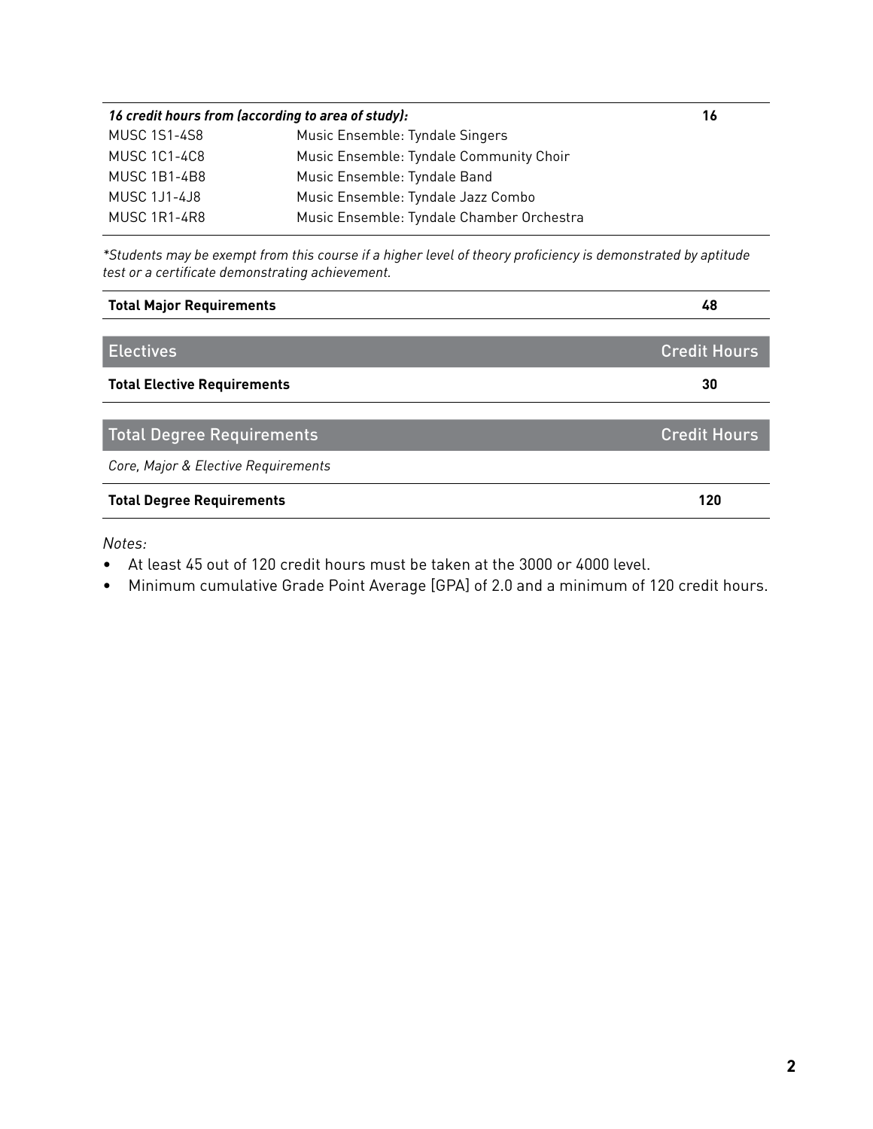| 16 credit hours from (according to area of study): |                                           | 16 |
|----------------------------------------------------|-------------------------------------------|----|
| <b>MUSC 1S1-4S8</b>                                | Music Ensemble: Tyndale Singers           |    |
| <b>MUSC 1C1-4C8</b>                                | Music Ensemble: Tyndale Community Choir   |    |
| <b>MUSC 1B1-4B8</b>                                | Music Ensemble: Tyndale Band              |    |
| <b>MUSC 1J1-4J8</b>                                | Music Ensemble: Tyndale Jazz Combo        |    |
| <b>MUSC 1R1-4R8</b>                                | Music Ensemble: Tyndale Chamber Orchestra |    |

*\*Students may be exempt from this course if a higher level of theory proficiency is demonstrated by aptitude test or a certificate demonstrating achievement.*

| <b>Total Major Requirements</b>     | 48                  |
|-------------------------------------|---------------------|
|                                     |                     |
| <b>Electives</b>                    | <b>Credit Hours</b> |
| <b>Total Elective Requirements</b>  | 30                  |
|                                     |                     |
| Total Degree Requirements           | <b>Credit Hours</b> |
| Core, Major & Elective Requirements |                     |
| <b>Total Degree Requirements</b>    | 120                 |

*Notes:*

- At least 45 out of 120 credit hours must be taken at the 3000 or 4000 level.
- Minimum cumulative Grade Point Average [GPA] of 2.0 and a minimum of 120 credit hours.